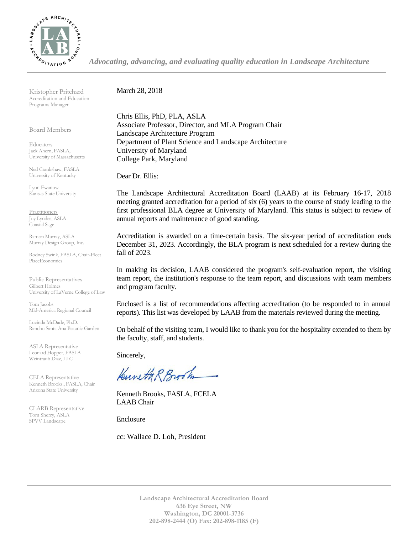

*Advocating, advancing, and evaluating quality education in Landscape Architecture*

Kristopher Pritchard Accreditation and Education Programs Manager

Board Members

**Educators** Jack Ahern, FASLA, University of Massachusetts

Ned Crankshaw, FASLA University of Kentucky

Lynn Ewanow Kansas State University

**Practitioners** Joy Lyndes, ASLA Coastal Sage

Ramon Murray, ASLA Murray Design Group, Inc.

Rodney Swink, FASLA, Chair-Elect PlaceEconomics

Public Representatives Gilbert Holmes University of LaVerne College of Law

Tom Jacobs Mid-America Regional Council

Lucinda McDade, Ph.D. Rancho Santa Ana Botanic Garden

ASLA Representative Leonard Hopper, FASLA Weintraub Diaz, LLC

CELA Representative Kenneth Brooks., FASLA, Chair Arizona State University

CLARB Representative Tom Sherry, ASLA SPVV Landscape

March 28, 2018

Chris Ellis, PhD, PLA, ASLA Associate Professor, Director, and MLA Program Chair Landscape Architecture Program Department of Plant Science and Landscape Architecture University of Maryland College Park, Maryland

Dear Dr. Ellis:

The Landscape Architectural Accreditation Board (LAAB) at its February 16-17, 2018 meeting granted accreditation for a period of six (6) years to the course of study leading to the first professional BLA degree at University of Maryland. This status is subject to review of annual reports and maintenance of good standing.

Accreditation is awarded on a time-certain basis. The six-year period of accreditation ends December 31, 2023. Accordingly, the BLA program is next scheduled for a review during the fall of 2023.

In making its decision, LAAB considered the program's self-evaluation report, the visiting team report, the institution's response to the team report, and discussions with team members and program faculty.

Enclosed is a list of recommendations affecting accreditation (to be responded to in annual reports). This list was developed by LAAB from the materials reviewed during the meeting.

On behalf of the visiting team, I would like to thank you for the hospitality extended to them by the faculty, staff, and students.

Sincerely,

Kuneth R Brook

Kenneth Brooks, FASLA, FCELA LAAB Chair

Enclosure

cc: Wallace D. Loh, President